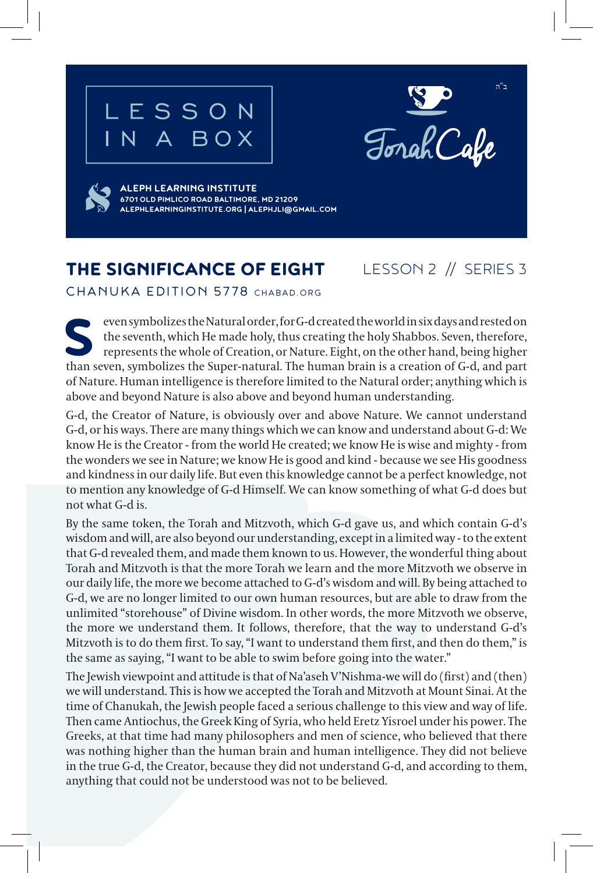## LESSON N A BOX





**ALEPH LEARNING INSTITUTE 6701 OLD PIMLICO ROAD BALTIMORE, MD 21209 ALEPHLEARNINGINSTITUTE.ORG | ALEPHJLI@GMAIL.COM**

## THE SIGNIFICANCE OF EIGHT

LESSON 2 // SERIES 3

CHANUKA EDITION 5778 CHABAD.ORG

even symbolizes the Natural order, for G-d created the world in six days and rested on the seventh, which He made holy, thus creating the holy Shabbos. Seven, therefore, represents the whole of Creation, or Nature. Eight, on the other hand, being higher than seven, symbolizes the Super-natural. The human brain is a creation of G-d, and part of Nature. Human intelligence is therefore limited to the Natural order; anything which is above and beyond Nature is also above and beyond human understanding.

G-d, the Creator of Nature, is obviously over and above Nature. We cannot understand G-d, or his ways. There are many things which we can know and understand about G-d: We know He is the Creator - from the world He created; we know He is wise and mighty - from the wonders we see in Nature; we know He is good and kind - because we see His goodness and kindness in our daily life. But even this knowledge cannot be a perfect knowledge, not to mention any knowledge of G-d Himself. We can know something of what G-d does but not what G-d is.

By the same token, the Torah and Mitzvoth, which G-d gave us, and which contain G-d's wisdom and will, are also beyond our understanding, except in a limited way - to the extent that G-d revealed them, and made them known to us. However, the wonderful thing about Torah and Mitzvoth is that the more Torah we learn and the more Mitzvoth we observe in our daily life, the more we become attached to G-d's wisdom and will. By being attached to G-d, we are no longer limited to our own human resources, but are able to draw from the unlimited "storehouse" of Divine wisdom. In other words, the more Mitzvoth we observe, the more we understand them. It follows, therefore, that the way to understand G-d's Mitzvoth is to do them first. To say, "I want to understand them first, and then do them," is the same as saying, "I want to be able to swim before going into the water."

The Jewish viewpoint and attitude is that of Na'aseh V'Nishma-we will do (first) and (then) we will understand. This is how we accepted the Torah and Mitzvoth at Mount Sinai. At the time of Chanukah, the Jewish people faced a serious challenge to this view and way of life. Then came Antiochus, the Greek King of Syria, who held Eretz Yisroel under his power. The Greeks, at that time had many philosophers and men of science, who believed that there was nothing higher than the human brain and human intelligence. They did not believe in the true G-d, the Creator, because they did not understand G-d, and according to them, anything that could not be understood was not to be believed.